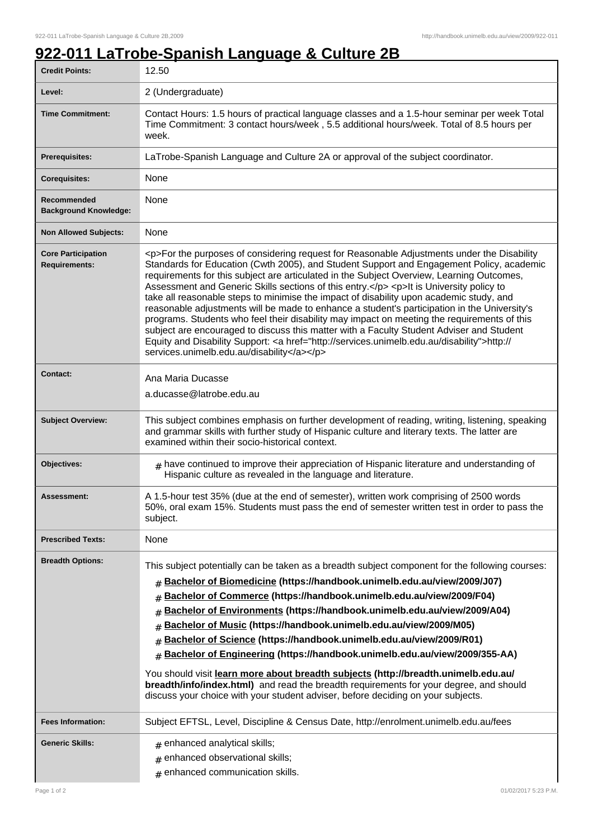## **922-011 LaTrobe-Spanish Language & Culture 2B**

| <b>Credit Points:</b>                             | 12.50                                                                                                                                                                                                                                                                                                                                                                                                                                                                                                                                                                                                                                                                                                                                                                                                                                                                                                                        |
|---------------------------------------------------|------------------------------------------------------------------------------------------------------------------------------------------------------------------------------------------------------------------------------------------------------------------------------------------------------------------------------------------------------------------------------------------------------------------------------------------------------------------------------------------------------------------------------------------------------------------------------------------------------------------------------------------------------------------------------------------------------------------------------------------------------------------------------------------------------------------------------------------------------------------------------------------------------------------------------|
| Level:                                            | 2 (Undergraduate)                                                                                                                                                                                                                                                                                                                                                                                                                                                                                                                                                                                                                                                                                                                                                                                                                                                                                                            |
| <b>Time Commitment:</b>                           | Contact Hours: 1.5 hours of practical language classes and a 1.5-hour seminar per week Total<br>Time Commitment: 3 contact hours/week, 5.5 additional hours/week. Total of 8.5 hours per<br>week.                                                                                                                                                                                                                                                                                                                                                                                                                                                                                                                                                                                                                                                                                                                            |
| <b>Prerequisites:</b>                             | LaTrobe-Spanish Language and Culture 2A or approval of the subject coordinator.                                                                                                                                                                                                                                                                                                                                                                                                                                                                                                                                                                                                                                                                                                                                                                                                                                              |
| <b>Corequisites:</b>                              | None                                                                                                                                                                                                                                                                                                                                                                                                                                                                                                                                                                                                                                                                                                                                                                                                                                                                                                                         |
| Recommended<br><b>Background Knowledge:</b>       | None                                                                                                                                                                                                                                                                                                                                                                                                                                                                                                                                                                                                                                                                                                                                                                                                                                                                                                                         |
| <b>Non Allowed Subjects:</b>                      | None                                                                                                                                                                                                                                                                                                                                                                                                                                                                                                                                                                                                                                                                                                                                                                                                                                                                                                                         |
| <b>Core Participation</b><br><b>Requirements:</b> | <p>For the purposes of considering request for Reasonable Adjustments under the Disability<br/>Standards for Education (Cwth 2005), and Student Support and Engagement Policy, academic<br/>requirements for this subject are articulated in the Subject Overview, Learning Outcomes,<br/>Assessment and Generic Skills sections of this entry.</p> <p>lt is University policy to<br/>take all reasonable steps to minimise the impact of disability upon academic study, and<br/>reasonable adjustments will be made to enhance a student's participation in the University's<br/>programs. Students who feel their disability may impact on meeting the requirements of this<br/>subject are encouraged to discuss this matter with a Faculty Student Adviser and Student<br/>Equity and Disability Support: &lt; a href="http://services.unimelb.edu.au/disability"&gt;http://<br/>services.unimelb.edu.au/disability</p> |
| <b>Contact:</b>                                   | Ana Maria Ducasse<br>a.ducasse@latrobe.edu.au                                                                                                                                                                                                                                                                                                                                                                                                                                                                                                                                                                                                                                                                                                                                                                                                                                                                                |
| <b>Subject Overview:</b>                          | This subject combines emphasis on further development of reading, writing, listening, speaking<br>and grammar skills with further study of Hispanic culture and literary texts. The latter are<br>examined within their socio-historical context.                                                                                                                                                                                                                                                                                                                                                                                                                                                                                                                                                                                                                                                                            |
| Objectives:                                       | $_{\text{\#}}$ have continued to improve their appreciation of Hispanic literature and understanding of<br>Hispanic culture as revealed in the language and literature.                                                                                                                                                                                                                                                                                                                                                                                                                                                                                                                                                                                                                                                                                                                                                      |
| Assessment:                                       | A 1.5-hour test 35% (due at the end of semester), written work comprising of 2500 words<br>50%, oral exam 15%. Students must pass the end of semester written test in order to pass the<br>subject.                                                                                                                                                                                                                                                                                                                                                                                                                                                                                                                                                                                                                                                                                                                          |
| <b>Prescribed Texts:</b>                          | None                                                                                                                                                                                                                                                                                                                                                                                                                                                                                                                                                                                                                                                                                                                                                                                                                                                                                                                         |
| <b>Breadth Options:</b>                           | This subject potentially can be taken as a breadth subject component for the following courses:<br>Bachelor of Biomedicine (https://handbook.unimelb.edu.au/view/2009/J07)<br>#<br>Bachelor of Commerce (https://handbook.unimelb.edu.au/view/2009/F04)<br>#<br>Bachelor of Environments (https://handbook.unimelb.edu.au/view/2009/A04)<br>#<br>Bachelor of Music (https://handbook.unimelb.edu.au/view/2009/M05)<br>#<br>Bachelor of Science (https://handbook.unimelb.edu.au/view/2009/R01)<br>Bachelor of Engineering (https://handbook.unimelb.edu.au/view/2009/355-AA)<br>#<br>You should visit learn more about breadth subjects (http://breadth.unimelb.edu.au/<br>breadth/info/index.html) and read the breadth requirements for your degree, and should<br>discuss your choice with your student adviser, before deciding on your subjects.                                                                        |
| <b>Fees Information:</b>                          | Subject EFTSL, Level, Discipline & Census Date, http://enrolment.unimelb.edu.au/fees                                                                                                                                                                                                                                                                                                                                                                                                                                                                                                                                                                                                                                                                                                                                                                                                                                         |
| <b>Generic Skills:</b>                            | $#$ enhanced analytical skills;<br>enhanced observational skills;<br>#<br>enhanced communication skills.<br>$\pm$                                                                                                                                                                                                                                                                                                                                                                                                                                                                                                                                                                                                                                                                                                                                                                                                            |